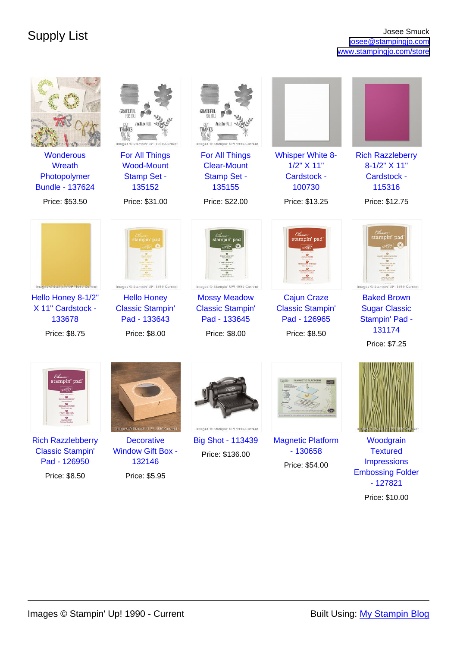| <b>Wonderous</b><br>Wreath<br>Photopolymer<br><b>Bundle - 137624</b>                                     | THANK<br>Images ® Stampin' UP! 1990-Current<br>For All Things<br><b>Wood-Mount</b><br><b>Stamp Set -</b><br>135152                  | THANKS<br>Images ® Stampin' UP! 1990-Current<br>For All Things<br><b>Clear-Mount</b><br><b>Stamp Set -</b><br>135155                  | <b>Whisper White 8-</b><br>1/2" X 11"<br>Cardstock -<br>100730                                 | <b>Rich Razzleberry</b><br>8-1/2" X 11"<br>Cardstock -<br>115316                                                                              |
|----------------------------------------------------------------------------------------------------------|-------------------------------------------------------------------------------------------------------------------------------------|---------------------------------------------------------------------------------------------------------------------------------------|------------------------------------------------------------------------------------------------|-----------------------------------------------------------------------------------------------------------------------------------------------|
| Price: \$53.50                                                                                           | Price: \$31.00                                                                                                                      | Price: \$22.00                                                                                                                        | Price: \$13.25                                                                                 | Price: \$12.75                                                                                                                                |
| Images @ Stampln' UP! 1990-Current<br>Hello Honey 8-1/2"<br>X 11" Cardstock -<br>133678<br>Price: \$8.75 | tampin' pad<br>Images ® Stampin' UP! 1990-Current<br><b>Hello Honey</b><br><b>Classic Stampin'</b><br>Pad - 133643<br>Price: \$8.00 | stampin' pad<br>Images ® Stampin' UP! 1990-Current<br><b>Mossy Meadow</b><br><b>Classic Stampin'</b><br>Pad - 133645<br>Price: \$8.00 | stampin' pad<br><b>Cajun Craze</b><br><b>Classic Stampin'</b><br>Pad - 126965<br>Price: \$8.50 | stampin' pac<br>Images ® Stampin' UP! 1990-Current<br><b>Baked Brown</b><br><b>Sugar Classic</b><br>Stampin' Pad -<br>131174<br>Price: \$7.25 |
| Classii<br>stampin' pad                                                                                  | Images © Stampin' UP! 1990-Current                                                                                                  | Images ® Stampin' UP! 1990-Current                                                                                                    |                                                                                                |                                                                                                                                               |
| <b>Rich Razzlebberry</b>                                                                                 | <b>Decorative</b>                                                                                                                   | <b>Big Shot - 113439</b>                                                                                                              | <b>Magnetic Platform</b>                                                                       | Woodgrain                                                                                                                                     |
| <b>Classic Stampin'</b><br>Pad - 126950                                                                  | <b>Window Gift Box -</b><br>132146                                                                                                  | Price: \$136.00                                                                                                                       | $-130658$                                                                                      | <b>Textured</b><br><b>Impressions</b>                                                                                                         |
| Price: \$8.50                                                                                            | Price: \$5.95                                                                                                                       |                                                                                                                                       | Price: \$54.00                                                                                 | <b>Embossing Folder</b><br>$-127821$                                                                                                          |

Price: \$10.00